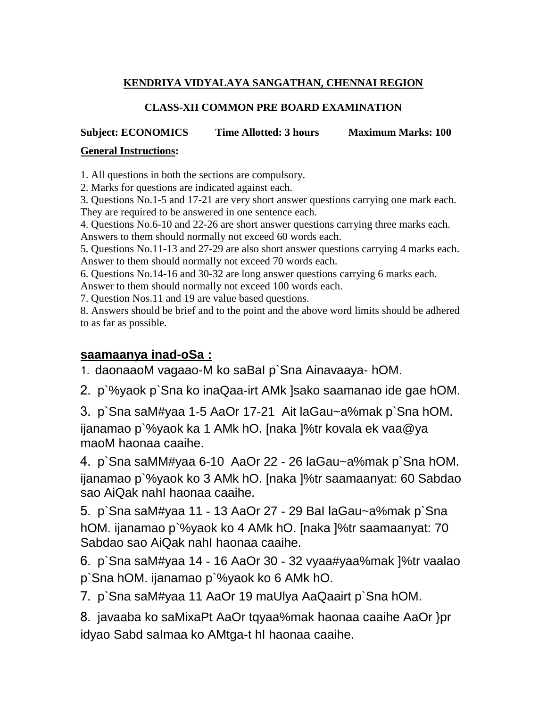## **KENDRIYA VIDYALAYA SANGATHAN, CHENNAI REGION**

### **CLASS-XII COMMON PRE BOARD EXAMINATION**

## **Subject: ECONOMICS Time Allotted: 3 hours Maximum Marks: 100**

#### **General Instructions:**

1. All questions in both the sections are compulsory.

2. Marks for questions are indicated against each.

3. Questions No.1-5 and 17-21 are very short answer questions carrying one mark each. They are required to be answered in one sentence each.

4. Questions No.6-10 and 22-26 are short answer questions carrying three marks each.

Answers to them should normally not exceed 60 words each.

5. Questions No.11-13 and 27-29 are also short answer questions carrying 4 marks each. Answer to them should normally not exceed 70 words each.

6. Questions No.14-16 and 30-32 are long answer questions carrying 6 marks each. Answer to them should normally not exceed 100 words each.

7. Question Nos.11 and 19 are value based questions.

8. Answers should be brief and to the point and the above word limits should be adhered to as far as possible.

## **saamaanya inad-oSa :**

1. daonaaoM vagaao-M ko saBaI p`Sna Ainavaaya- hOM.

2. p`%yaok p`Sna ko inaQaa-irt AMk ]sako saamanao ide gae hOM.

3. p`Sna saM#yaa 1-5 AaOr 17-21 Ait laGau~a%mak p`Sna hOM.

ijanamao p`%yaok ka 1 AMk hO. [naka ]%tr kovala ek vaa@ya maoM haonaa caaihe.

4. p`Sna saMM#yaa 6-10 AaOr 22 - 26 laGau~a%mak p`Sna hOM. ijanamao p`%yaok ko 3 AMk hO. [naka ]%tr saamaanyat: 60 Sabdao sao AiQak nahI haonaa caaihe.

5. p`Sna saM#yaa 11 - 13 AaOr 27 - 29 BaI laGau~a%mak p`Sna hOM. ijanamao p`%yaok ko 4 AMk hO. [naka ]%tr saamaanyat: 70 Sabdao sao AiQak nahI haonaa caaihe.

6. p`Sna saM#yaa 14 - 16 AaOr 30 - 32 vyaa#yaa%mak ]%tr vaalao p`Sna hOM. ijanamao p`%yaok ko 6 AMk hO.

7. p`Sna saM#yaa 11 AaOr 19 maUlya AaQaairt p`Sna hOM.

8. javaaba ko saMixaPt AaOr tqyaa%mak haonaa caaihe AaOr }pr idyao Sabd saImaa ko AMtga-t hI haonaa caaihe.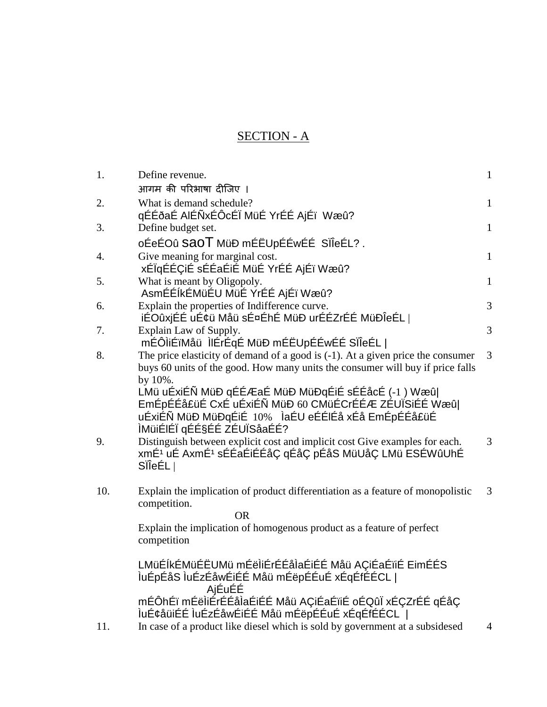# SECTION - A

| 1.  | Define revenue.                                                                                                                                                      | $\mathbf{1}$   |
|-----|----------------------------------------------------------------------------------------------------------------------------------------------------------------------|----------------|
|     | आगम की परिभाषा दीजिए ।                                                                                                                                               |                |
| 2.  | What is demand schedule?                                                                                                                                             | $\mathbf{1}$   |
|     | qÉÉðaÉ AIÉÑxÉÔcÉÏ MüÉ YrÉÉ AjÉï Wæû?                                                                                                                                 |                |
| 3.  | Define budget set.                                                                                                                                                   | $\mathbf{1}$   |
|     | oÉeÉOû SAOT MüÐ mÉËUpÉÉwÉÉ SÏÎeÉL?.                                                                                                                                  |                |
| 4.  | Give meaning for marginal cost.<br>xÉÏqÉÉÇIÉ sÉÉaÉIÉ MüÉ YrÉÉ AjÉï Wæû?                                                                                              | $\mathbf{1}$   |
| 5.  | What is meant by Oligopoly.                                                                                                                                          | $\mathbf{1}$   |
|     | AsmÉÉÍkÉMüÉU MüÉ YrÉÉ AjÉï Wæû?                                                                                                                                      |                |
| 6.  | Explain the properties of Indifference curve.                                                                                                                        | $\overline{3}$ |
|     | iÉOûxjÉÉ uÉ¢ü Måü sɤÉhÉ MüĐ urÉÉZrÉÉ MüĐÎeÉL                                                                                                                         |                |
| 7.  | Explain Law of Supply.                                                                                                                                               | 3              |
|     | mÉÔliÉïMåü lIÉrÉqÉ MüÐ mÉËUpÉÉwÉÉ SIIeÉL                                                                                                                             |                |
| 8.  | The price elasticity of demand of a good is $(-1)$ . At a given price the consumer<br>buys 60 units of the good. How many units the consumer will buy if price falls | 3              |
|     | by 10%.                                                                                                                                                              |                |
|     | LMü uÉxiÉÑ MüÐ qÉÉÆaÉ MüÐ MüÐqÉiÉ sÉÉåcÉ (-1 ) Wæû                                                                                                                   |                |
|     | EmÉpÉÉå£üÉ CxÉ uÉxiÉÑ MüÐ 60 CMüÉCrÉÉÆ ZÉUÏSiÉÉ Wæû                                                                                                                  |                |
|     | uÉxiÉÑ MüÐ MüÐqÉiÉ 10% ÌaÉU eÉÉIÉå xÉå EmÉpÉÉå£üÉ                                                                                                                    |                |
|     | ÌMüiÉIÉÏ qÉɧÉÉ ZÉUÏSåaÉÉ?                                                                                                                                            |                |
| 9.  | Distinguish between explicit cost and implicit cost Give examples for each.                                                                                          | 3              |
|     | xmÉ <sup>1</sup> uÉ AxmÉ <sup>1</sup> sÉÉaÉiÉÉåÇ qÉåÇ pÉåS MüUåÇ LMü ESÉWûUhÉ                                                                                        |                |
|     | SileEL                                                                                                                                                               |                |
| 10. | Explain the implication of product differentiation as a feature of monopolistic                                                                                      | 3              |
|     | competition.                                                                                                                                                         |                |
|     | <b>OR</b>                                                                                                                                                            |                |
|     | Explain the implication of homogenous product as a feature of perfect                                                                                                |                |
|     | competition                                                                                                                                                          |                |
|     | LMüÉÍkÉMüÉËUMü mÉëÌIÉrÉÉåÌaÉIÉÉ Måü AÇIÉaÉïIÉ EimÉÉS                                                                                                                 |                |
|     | ÌuÉpÉåS ÌuÉzÉåwÉiÉÉ Måü mÉëpÉÉuÉ xÉqÉfÉÉCL                                                                                                                           |                |
|     | AjÉuÉÉ                                                                                                                                                               |                |
|     | mÉÔhÉï mÉëÌiÉrÉÉåÌaÉiÉÉ Måü AÇiÉaÉïiÉ oÉQûÏ xÉÇZrÉÉ qÉåÇ                                                                                                             |                |
|     | luÉ¢åüiÉÉ luÉzÉåwÉiÉÉ Måü mÉëpÉÉuÉ xÉqÉfÉÉCL                                                                                                                         |                |
| 11. | In case of a product like diesel which is sold by government at a subsidesed                                                                                         | $\overline{4}$ |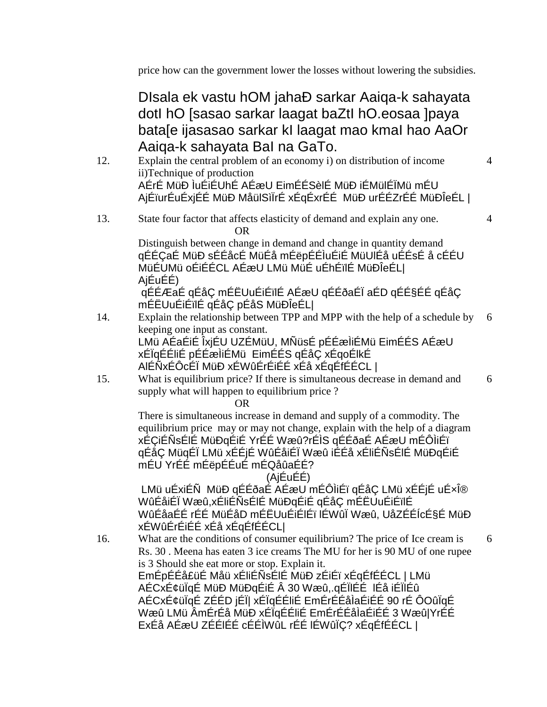price how can the government lower the losses without lowering the subsidies.

DIsala ek vastu hOM jahaÐ sarkar Aaiqa-k sahayata dotI hO [sasao sarkar laagat baZtI hO.eosaa ]paya bata[e ijasasao sarkar kI laagat mao kmaI hao AaOr Aaiqa-k sahayata BaI na GaTo.

- 12. Explain the central problem of an economy i) on distribution of income ii)Technique of production AÉrÉ MüÐ ÌuÉiÉUhÉ AÉæU EimÉÉSèlÉ MüÐ iÉMülÉÏMü mÉU AjÉïurÉuÉxjÉÉ MüÐ MåülSìÏrÉ xÉqÉxrÉÉ MüÐ urÉÉZrÉÉ MüÐÎeÉL |
- 13. State four factor that affects elasticity of demand and explain any one. OR

Distinguish between change in demand and change in quantity demand qÉÉÇaÉ MüÐ sÉÉåcÉ MüÉå mÉëpÉÉÌuÉiÉ MüUlÉå uÉÉsÉ å cÉÉU MüÉUMü oÉiÉÉCL AÉæU LMü MüÉ uÉhÉïlÉ MüÐÎeÉL| AjÉuÉÉ)

qÉÉÆaÉ qÉåÇ mÉËUuÉiÉïlÉ AÉæU qÉÉðaÉÏ aÉD qÉɧÉÉ qÉåÇ mÉËUuÉiÉïlÉ qÉåÇ pÉåS MüÐÎeÉL|

- 14. Explain the relationship between TPP and MPP with the help of a schedule by keeping one input as constant. LMü AÉaÉiÉ ÎxjÉU UZÉMüU, MÑüsÉ pÉÉæÌiÉMü EimÉÉS AÉæU xÉÏqÉÉliÉ pÉÉæÌiÉMü EimÉÉS qÉåÇ xÉqoÉlkÉ AlÉÑxÉÔcÉÏ MüÐ xÉWûÉrÉiÉÉ xÉå xÉqÉfÉÉCL |
- 15. What is equilibrium price? If there is simultaneous decrease in demand and supply what will happen to equilibrium price ? 6

OR

There is simultaneous increase in demand and supply of a commodity. The equilibrium price may or may not change, explain with the help of a diagram xÉÇiÉÑsÉlÉ MüÐqÉiÉ YrÉÉ Wæû?rÉÌS qÉÉðaÉ AÉæU mÉÔÌiÉï qÉåÇ MüqÉÏ LMü xÉÉjÉ WûÉåiÉÏ Wæû iÉÉå xÉliÉÑsÉlÉ MüÐqÉiÉ mÉU YrÉÉ mÉëpÉÉuÉ mÉQåûaÉÉ?

## (AjÉuÉÉ)

LMü uÉxiÉÑ MüÐ qÉÉðaÉ AÉæU mÉÔÌiÉï qÉåÇ LMü xÉÉjÉ uÉ×ή WûÉåiÉÏ Wæû,xÉliÉÑsÉlÉ MüÐqÉiÉ qÉåÇ mÉËUuÉiÉïlÉ WûÉåaÉÉ rÉÉ MüÉåD mÉËUuÉiÉlÉï lÉWûÏ Wæû, UåZÉÉÍcÉ§É MüÐ xÉWûÉrÉiÉÉ xÉå xÉqÉfÉÉCL|

16. What are the conditions of consumer equilibrium? The price of Ice cream is Rs. 30 . Meena has eaten 3 ice creams The MU for her is 90 MU of one rupee is 3 Should she eat more or stop. Explain it. EmÉpÉÉå£üÉ Måü xÉliÉÑsÉlÉ MüÐ zÉiÉï xÉqÉfÉÉCL | LMü AÉCxÉ¢üÏqÉ MüÐ MüÐqÉiÉ Â 30 Wæû,.qÉÏlÉÉ lÉå iÉÏlÉû AÉCxÉ¢üÏqÉ ZÉÉD jÉÏ| xÉÏqÉÉliÉ EmÉrÉÉåÌaÉiÉÉ 90 rÉ ÔOûÏqÉ Wæû LMü ÂmÉrÉå MüÐ xÉÏqÉÉliÉ EmÉrÉÉåÌaÉiÉÉ 3 Wæû|YrÉÉ ExÉå AÉæU ZÉÉlÉÉ cÉÉÌWûL rÉÉ lÉWûÏÇ? xÉqÉfÉÉCL |

6

4

4

6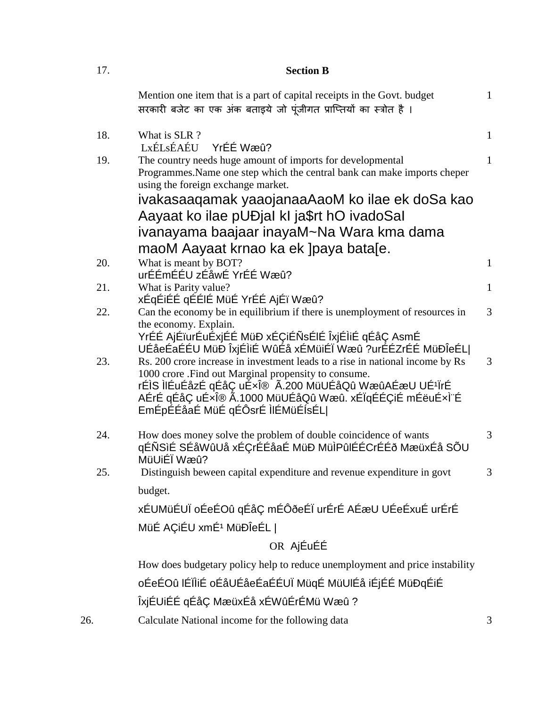| 17. | <b>Section B</b>                                                                                                                                                                                                                                                                                       |                |  |
|-----|--------------------------------------------------------------------------------------------------------------------------------------------------------------------------------------------------------------------------------------------------------------------------------------------------------|----------------|--|
|     | Mention one item that is a part of capital receipts in the Govt. budget<br>सरकारी बजेट का एक अंक बताइये जो पूंजीगत प्राप्तियों का स्त्रोत है।                                                                                                                                                          | $\mathbf{1}$   |  |
| 18. | What is SLR?<br>YrÉÉ Wæû?<br>LxÉLsÉAÉU                                                                                                                                                                                                                                                                 | $\mathbf{1}$   |  |
| 19. | The country needs huge amount of imports for developmental<br>Programmes. Name one step which the central bank can make imports cheper<br>using the foreign exchange market.<br>ivakasaaqamak yaaojanaaAaoM ko ilae ek doSa kao                                                                        | $\mathbf{1}$   |  |
|     | Aayaat ko ilae pUĐjal kI ja\$rt hO ivadoSal<br>ivanayama baajaar inayaM~Na Wara kma dama                                                                                                                                                                                                               |                |  |
|     | maoM Aayaat krnao ka ek ]paya bata[e.                                                                                                                                                                                                                                                                  |                |  |
| 20. | What is meant by BOT?                                                                                                                                                                                                                                                                                  | $\mathbf{1}$   |  |
|     | urÉÉmÉÉU zÉåwÉ YrÉÉ Wæû?                                                                                                                                                                                                                                                                               |                |  |
| 21. | What is Parity value?<br>xÉgÉiÉÉ gÉÉIÉ MüÉ YrÉÉ AjÉï Wæû?                                                                                                                                                                                                                                              | $\mathbf{1}$   |  |
| 22. | Can the economy be in equilibrium if there is unemployment of resources in                                                                                                                                                                                                                             | $\overline{3}$ |  |
|     | the economy. Explain.<br>YrÉÉ AjÉïurÉuÉxjÉÉ MüÐ xÉÇiÉÑsÉIÉ ÎxjÉÌIÉ qÉåÇ AsmÉ<br>UÉåeÉaÉÉU MüÐ ÎxjÉÌiÉ WûÉå xÉMüiÉÏ Wæû ?urÉÉZrÉÉ MüÐÎeÉL                                                                                                                                                               |                |  |
| 23. | Rs. 200 crore increase in investment leads to a rise in national income by Rs<br>1000 crore .Find out Marginal propensity to consume.<br>rÉÌS ÌIÉuÉåzÉ qÉåÇ uÉxή Ã.200 MüUÉåQû WæûAÉæU UÉ <sup>1</sup> ÏrÉ<br>AÉrÉ qÉåÇ uÉ×ή Ã.1000 MüUÉåQû Wæû. xÉÏqÉÉÇiÉ mÉëuÉ×̨É<br>EmÉpÉÉåaÉ MüÉ qÉÔsrÉ IIÉMüÉÍsÉL | 3              |  |
| 24. | How does money solve the problem of double coincidence of wants<br>qÉÑSìÉ SÉåWûUå xÉÇrÉÉåaÉ MüÐ MüÌPûIÉÉCrÉÉð MæüxÉå SÕU<br>MüUiÉÏ Wæû?                                                                                                                                                                | 3              |  |
| 25. | Distinguish beween capital expenditure and revenue expenditure in govt                                                                                                                                                                                                                                 | 3              |  |
|     | budget.                                                                                                                                                                                                                                                                                                |                |  |
|     | xÉUMüÉUÏ oÉeÉOû qÉåÇ mÉÔðeÉÏ urÉrÉ AÉæU UÉeÉxuÉ urÉrÉ                                                                                                                                                                                                                                                  |                |  |
|     | MüÉ AÇiÉU xmÉ <sup>1</sup> MüÐÎeÉL                                                                                                                                                                                                                                                                     |                |  |
|     | OR AjÉuÉÉ                                                                                                                                                                                                                                                                                              |                |  |
|     | How does budgetary policy help to reduce unemployment and price instability                                                                                                                                                                                                                            |                |  |
|     | oÉeÉOû IÉÏÌiÉ oÉåUÉåeÉaÉÉUÏ MüqÉ MüUIÉå iÉjÉÉ MüÐqÉiÉ                                                                                                                                                                                                                                                  |                |  |
|     | ÎxjÉUiÉÉ qÉåÇ MæüxÉå xÉWûÉrÉMü Wæû?                                                                                                                                                                                                                                                                    |                |  |
|     | data Matignal income for the following data                                                                                                                                                                                                                                                            |                |  |

26. Calculate National income for the following data 3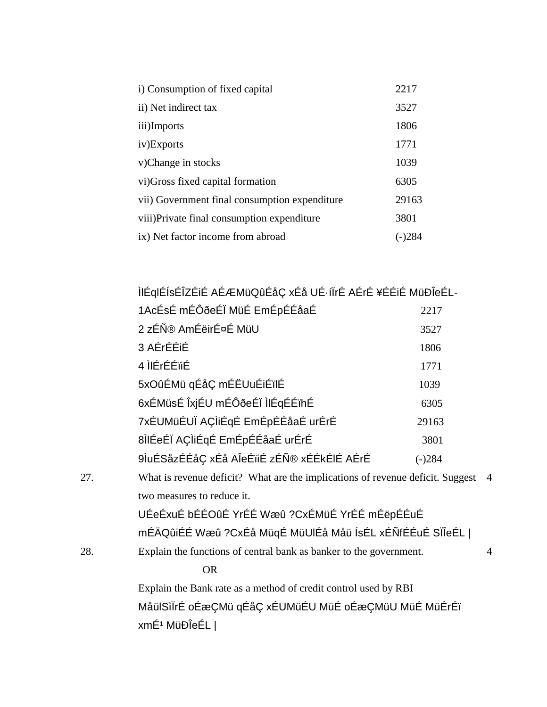| i) Consumption of fixed capital               | 2217  |
|-----------------------------------------------|-------|
| ii) Net indirect tax                          | 3527  |
| iii)Imports                                   | 1806  |
| iv)Exports                                    | 1771  |
| v)Change in stocks                            | 1039  |
| vi) Gross fixed capital formation             | 6305  |
| vii) Government final consumption expenditure | 29163 |
| viii) Private final consumption expenditure   | 3801  |
| ix) Net factor income from abroad             |       |

|     | ÌIÉqIÉÍsÉÎZÉIÉ AÉÆMüQûÉåÇ xÉå UÉ·íÏrÉ AÉrÉ ¥ÉÉIÉ MüÐÎeÉL-                      |          |                |
|-----|--------------------------------------------------------------------------------|----------|----------------|
|     | 1AcÉsÉ mÉÔðeÉÏ MüÉ EmÉpÉÉåaÉ                                                   | 2217     |                |
|     | 2 zÉÑ® AmÉëirÉ¤É MüU                                                           | 3527     |                |
|     | 3 AÉrÉÉiÉ                                                                      | 1806     |                |
|     | 4 ILÉrÉÉïiÉ                                                                    | 1771     |                |
|     | 5xOûÉMü qÉåÇ mÉËUuÉiÉïlÉ                                                       | 1039     |                |
|     | 6xÉMüsÉ ÎxjÉU mÉÔðeÉÏ IIÉqÉÉïhÉ                                                | 6305     |                |
|     | 7xÉUMüÉUÏ AÇÌIÉqÉ EmÉpÉÉåaÉ urÉrÉ                                              | 29163    |                |
|     | 8ÌIÉeÉÏ AÇÌIÉqÉ EmÉpÉÉåaÉ urÉrÉ                                                | 3801     |                |
|     | 9luÉSåzÉÉåÇ xÉå AleÉïiÉ zÉÑ® xÉÉkÉIÉ AÉrÉ                                      | $(-)284$ |                |
| 27. | What is revenue deficit? What are the implications of revenue deficit. Suggest |          | $\overline{4}$ |
|     | two measures to reduce it.                                                     |          |                |
|     | UÉeÉxuÉ bÉÉOûÉ YrÉÉ Wæû ?CxÉMüÉ YrÉÉ mÉëpÉÉuÉ                                  |          |                |
|     | mÉÄQûiÉÉ Wæû ?CxÉå MüqÉ MüUIÉå Måü ÍsÉL xÉÑfÉÉuÉ SÏÎeÉL                        |          |                |
| 28. | Explain the functions of central bank as banker to the government.             |          | 4              |
|     | <b>OR</b>                                                                      |          |                |

Explain the Bank rate as a method of credit control used by RBI MåülSìÏrÉ oÉæÇMü qÉåÇ xÉUMüÉU MüÉ oÉæÇMüU MüÉ MüÉrÉï xmÉ<sup>1</sup> MüÐÎeÉL |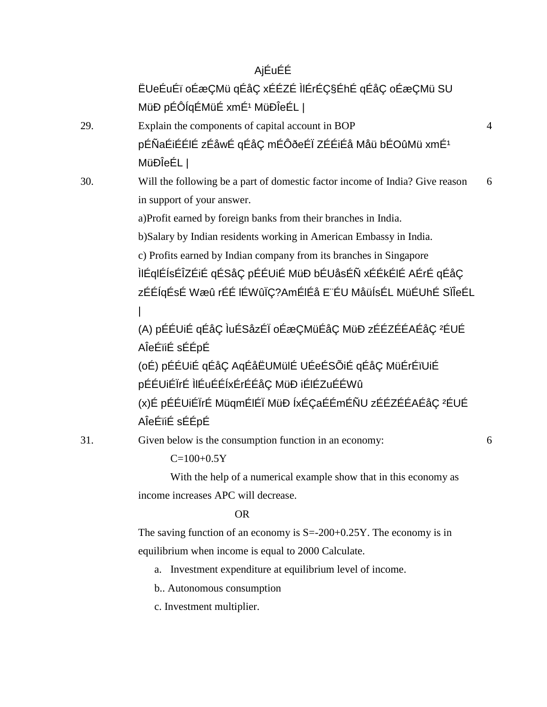|     | AjÉuÉÉ                                                                                                                                                                                       |                |
|-----|----------------------------------------------------------------------------------------------------------------------------------------------------------------------------------------------|----------------|
|     | ËUeÉuÉï oÉæÇMü qÉåÇ xÉÉZÉ IIÉrÉǧÉhÉ qÉåÇ oÉæÇMü SU                                                                                                                                           |                |
|     | MüĐ pÉÔÍqÉMüÉ xmÉ <sup>1</sup> MüĐÎeÉL                                                                                                                                                       |                |
| 29. | Explain the components of capital account in BOP                                                                                                                                             | $\overline{4}$ |
|     | pÉÑaÉiÉÉIÉ zÉåwÉ qÉåÇ mÉÔðeÉÏ ZÉÉiÉå Måü bÉOûMü xmÉ <sup>1</sup>                                                                                                                             |                |
|     | MüÐÎeÉL                                                                                                                                                                                      |                |
| 30. | Will the following be a part of domestic factor income of India? Give reason                                                                                                                 | 6              |
|     | in support of your answer.                                                                                                                                                                   |                |
|     | a)Profit earned by foreign banks from their branches in India.                                                                                                                               |                |
|     | b)Salary by Indian residents working in American Embassy in India.                                                                                                                           |                |
|     | c) Profits earned by Indian company from its branches in Singapore<br>ÌIÉqIÉÍsÉÎZÉiÉ qÉSåÇ pÉÉUiÉ MüÐ bÉUåsÉÑ xÉÉkÉIÉ AÉrÉ qÉåÇ<br>zÉÉÍqÉsÉ Wæû rÉÉ IÉWûÏÇ?AmÉIÉå E¨ÉU MåüÍsÉL MüÉUhÉ SÏÎeÉL |                |
|     | (A) pÉÉUIÉ qÉåÇ luÉSåzÉl oÉæÇMüÉåÇ MüÐ zÉÉZÉÉAÉåÇ <sup>2</sup> ÉUÉ<br>AÎeÉïiÉ sÉÉpÉ                                                                                                          |                |
|     | (oÉ) pÉÉUiÉ qÉåÇ AqÉåËUMülÉ UÉeÉSÕiÉ qÉåÇ MüÉrÉïUiÉ<br>pÉÉUiÉÏrÉ ÌIÉuÉÉÍxÉrÉÉåÇ MüÐ iÉIÉZuÉÉWû                                                                                               |                |
|     | (x)É pÉÉUiÉÏrÉ MüqmÉIÉÏ MüÐ ÍxÉÇaÉÉmÉÑU zÉÉZÉÉAÉåÇ <del>'</del> ÉUÉ<br>AÎeÉïiÉ sÉÉpÉ                                                                                                         |                |
| 31. | Given below is the consumption function in an economy:<br>$C=100+0.5Y$                                                                                                                       | 6              |
|     |                                                                                                                                                                                              |                |

With the help of a numerical example show that in this economy as income increases APC will decrease.

#### OR

The saving function of an economy is  $S = -200 + 0.25Y$ . The economy is in equilibrium when income is equal to 2000 Calculate.

- a. Investment expenditure at equilibrium level of income.
- b.. Autonomous consumption
- c. Investment multiplier.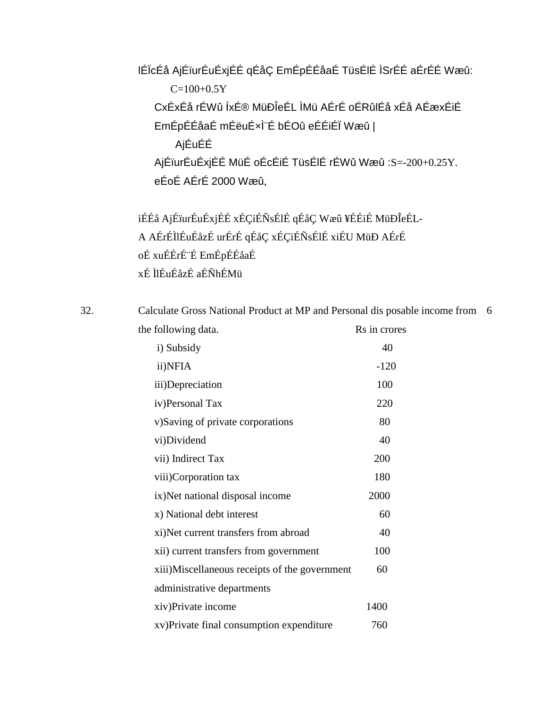lÉÏcÉå AjÉïurÉuÉxjÉÉ qÉåÇ EmÉpÉÉåaÉ TüsÉlÉ ÌSrÉÉ aÉrÉÉ Wæû:  $C=100+0.5Y$ CxÉxÉå rÉWû ÍxÉ® MüÐÎeÉL ÌMü AÉrÉ oÉRûlÉå xÉå AÉæxÉiÉ EmÉpÉÉåaÉ mÉëuÉ×Ì¨É bÉOû eÉÉiÉÏ Wæû | AjÉuÉÉ AjÉïurÉuÉxjÉÉ MüÉ oÉcÉiÉ TüsÉlÉ rÉWû Wæû :S=-200+0.25Y. eÉoÉ AÉrÉ 2000 Wæû,

iÉÉå AjÉïurÉuÉxjÉÉ xÉÇiÉÑsÉlÉ qÉåÇ Wæû ¥ÉÉiÉ MüÐÎeÉL-A AÉrÉÌlÉuÉåzÉ urÉrÉ qÉåÇ xÉÇiÉÑsÉlÉ xiÉU MüÐ AÉrÉ oÉ xuÉÉrÉ¨É EmÉpÉÉåaÉ xÉ ÌlÉuÉåzÉ aÉÑhÉMü

32. Calculate Gross National Product at MP and Personal dis posable income from 6the following data. Rs in crores

| i) Subsidy                                    | 40     |
|-----------------------------------------------|--------|
| ii)NFIA                                       | $-120$ |
| iii)Depreciation                              | 100    |
| iv)Personal Tax                               | 220    |
| v)Saving of private corporations              | 80     |
| vi)Dividend                                   | 40     |
| vii) Indirect Tax                             | 200    |
| viii)Corporation tax                          | 180    |
| ix) Net national disposal income              | 2000   |
| x) National debt interest                     | 60     |
| xi)Net current transfers from abroad          | 40     |
| xii) current transfers from government        | 100    |
| xiii)Miscellaneous receipts of the government | 60     |
| administrative departments                    |        |
| xiv)Private income                            | 1400   |
| xv) Private final consumption expenditure     | 760    |